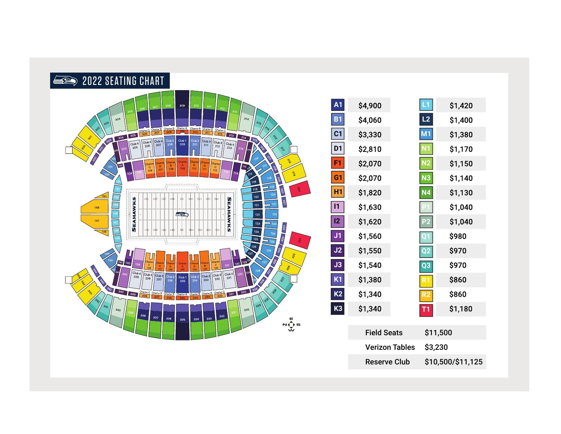